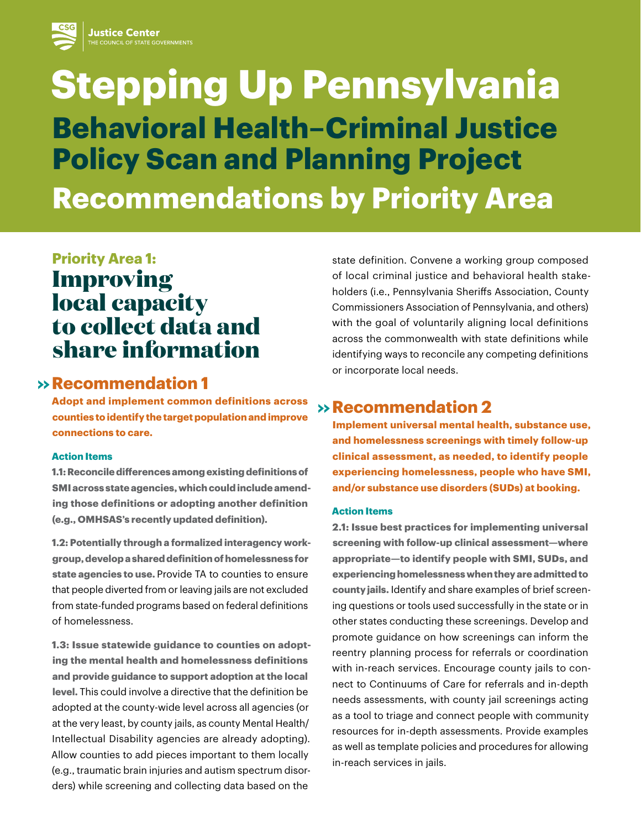# **Stepping Up Pennsylvania Behavioral Health–Criminal Justice Policy Scan and Planning Project Recommendations by Priority Area**

# **Priority Area 1: Improving local capacity to collect data and share information**

# **Re >> commendation 1**

**Adopt and implement common definitions across counties to identify the target population and improve connections to care.**

### **Action Items**

**1.1: Reconcile differences among existing definitions of SMI across state agencies, which could include amending those definitions or adopting another definition (e.g., OMHSAS's recently updated definition).** 

**1.2: Potentially through a formalized interagency workgroup, develop a shared definition of homelessness for state agencies to use.** Provide TA to counties to ensure that people diverted from or leaving jails are not excluded from state-funded programs based on federal definitions of homelessness.

**1.3: Issue statewide guidance to counties on adopting the mental health and homelessness definitions and provide guidance to support adoption at the local level.** This could involve a directive that the definition be adopted at the county-wide level across all agencies (or at the very least, by county jails, as county Mental Health/ Intellectual Disability agencies are already adopting). Allow counties to add pieces important to them locally (e.g., traumatic brain injuries and autism spectrum disorders) while screening and collecting data based on the

state definition. Convene a working group composed of local criminal justice and behavioral health stakeholders (i.e., Pennsylvania Sheriffs Association, County Commissioners Association of Pennsylvania, and others) with the goal of voluntarily aligning local definitions across the commonwealth with state definitions while identifying ways to reconcile any competing definitions or incorporate local needs.

# **Re >> commendation 2**

**Implement universal mental health, substance use, and homelessness screenings with timely follow-up clinical assessment, as needed, to identify people experiencing homelessness, people who have SMI, and/or substance use disorders (SUDs) at booking.**

### **Action Items**

**2.1: Issue best practices for implementing universal screening with follow-up clinical assessment—where appropriate—to identify people with SMI, SUDs, and experiencing homelessness when they are admitted to county jails.** Identify and share examples of brief screening questions or tools used successfully in the state or in other states conducting these screenings. Develop and promote guidance on how screenings can inform the reentry planning process for referrals or coordination with in-reach services. Encourage county jails to connect to Continuums of Care for referrals and in-depth needs assessments, with county jail screenings acting as a tool to triage and connect people with community resources for in-depth assessments. Provide examples as well as template policies and procedures for allowing in-reach services in jails.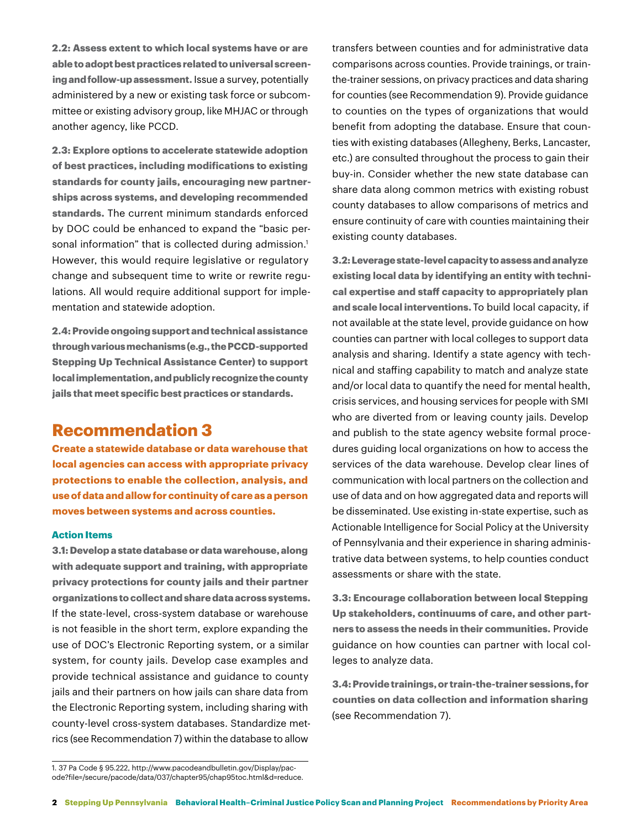**2.2: Assess extent to which local systems have or are able to adopt best practices related to universal screening and follow-up assessment.** Issue a survey, potentially administered by a new or existing task force or subcommittee or existing advisory group, like MHJAC or through another agency, like PCCD.

**2.3: Explore options to accelerate statewide adoption of best practices, including modifications to existing standards for county jails, encouraging new partnerships across systems, and developing recommended standards.** The current minimum standards enforced by DOC could be enhanced to expand the "basic personal information" that is collected during admission.<sup>1</sup> However, this would require legislative or regulatory change and subsequent time to write or rewrite regulations. All would require additional support for implementation and statewide adoption.

**2.4: Provide ongoing support and technical assistance through various mechanisms (e.g., the PCCD-supported Stepping Up Technical Assistance Center) to support local implementation, and publicly recognize the county jails that meet specific best practices or standards.**

# **Recommendation 3**

**Create a statewide database or data warehouse that local agencies can access with appropriate privacy protections to enable the collection, analysis, and use of data and allow for continuity of care as a person moves between systems and across counties.**

### **Action Items**

**3.1: Develop a state database or data warehouse, along with adequate support and training, with appropriate privacy protections for county jails and their partner organizations to collect and share data across systems.**  If the state-level, cross-system database or warehouse is not feasible in the short term, explore expanding the use of DOC's Electronic Reporting system, or a similar system, for county jails. Develop case examples and provide technical assistance and guidance to county jails and their partners on how jails can share data from the Electronic Reporting system, including sharing with county-level cross-system databases. Standardize metrics (see Recommendation 7) within the database to allow

transfers between counties and for administrative data comparisons across counties. Provide trainings, or trainthe-trainer sessions, on privacy practices and data sharing for counties (see Recommendation 9). Provide guidance to counties on the types of organizations that would benefit from adopting the database. Ensure that counties with existing databases (Allegheny, Berks, Lancaster, etc.) are consulted throughout the process to gain their buy-in. Consider whether the new state database can share data along common metrics with existing robust county databases to allow comparisons of metrics and ensure continuity of care with counties maintaining their existing county databases.

**3.2: Leverage state-level capacity to assess and analyze existing local data by identifying an entity with technical expertise and staff capacity to appropriately plan and scale local interventions.** To build local capacity, if not available at the state level, provide guidance on how counties can partner with local colleges to support data analysis and sharing. Identify a state agency with technical and staffing capability to match and analyze state and/or local data to quantify the need for mental health, crisis services, and housing services for people with SMI who are diverted from or leaving county jails. Develop and publish to the state agency website formal procedures guiding local organizations on how to access the services of the data warehouse. Develop clear lines of communication with local partners on the collection and use of data and on how aggregated data and reports will be disseminated. Use existing in-state expertise, such as Actionable Intelligence for Social Policy at the University of Pennsylvania and their experience in sharing administrative data between systems, to help counties conduct assessments or share with the state.

**3.3: Encourage collaboration between local Stepping Up stakeholders, continuums of care, and other partners to assess the needs in their communities.** Provide guidance on how counties can partner with local colleges to analyze data.

**3.4: Provide trainings, or train-the-trainer sessions, for counties on data collection and information sharing** (see Recommendation 7).

<sup>1. 37</sup> Pa Code § 95.222, http://www.pacodeandbulletin.gov/Display/pacode?file=/secure/pacode/data/037/chapter95/chap95toc.html&d=reduce.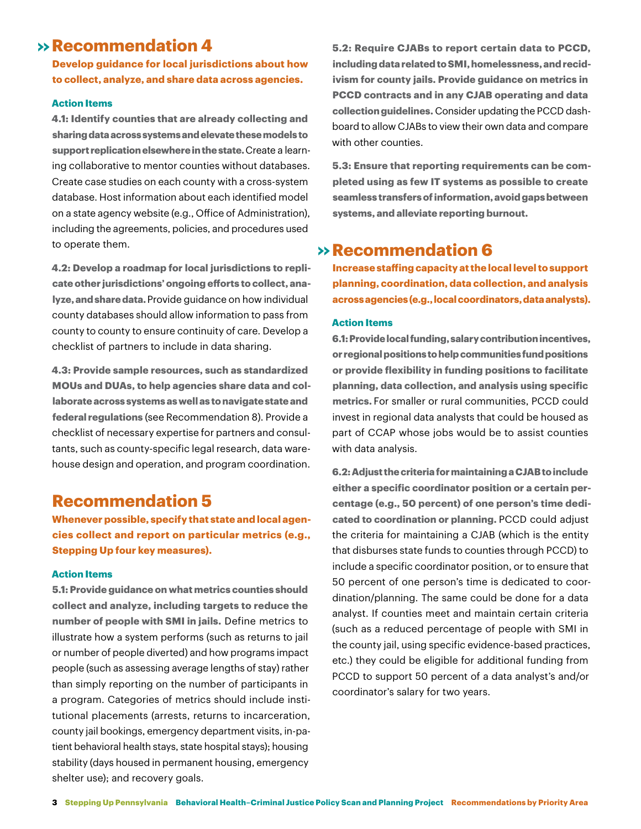# **Re >> commendation 4**

**Develop guidance for local jurisdictions about how to collect, analyze, and share data across agencies.**

### **Action Items**

**4.1: Identify counties that are already collecting and sharing data across systems and elevate these models to support replication elsewhere in the state.** Create a learning collaborative to mentor counties without databases. Create case studies on each county with a cross-system database. Host information about each identified model on a state agency website (e.g., Office of Administration), including the agreements, policies, and procedures used to operate them.

**4.2: Develop a roadmap for local jurisdictions to replicate other jurisdictions' ongoing efforts to collect, analyze, and share data.** Provide guidance on how individual county databases should allow information to pass from county to county to ensure continuity of care. Develop a checklist of partners to include in data sharing.

**4.3: Provide sample resources, such as standardized MOUs and DUAs, to help agencies share data and collaborate across systems as well as to navigate state and federal regulations** (see Recommendation 8). Provide a checklist of necessary expertise for partners and consultants, such as county-specific legal research, data warehouse design and operation, and program coordination.

### **Recommendation 5**

**Whenever possible, specify that state and local agencies collect and report on particular metrics (e.g., Stepping Up four key measures).**

### **Action Items**

**5.1: Provide guidance on what metrics counties should collect and analyze, including targets to reduce the number of people with SMI in jails.** Define metrics to illustrate how a system performs (such as returns to jail or number of people diverted) and how programs impact people (such as assessing average lengths of stay) rather than simply reporting on the number of participants in a program. Categories of metrics should include institutional placements (arrests, returns to incarceration, county jail bookings, emergency department visits, in-patient behavioral health stays, state hospital stays); housing stability (days housed in permanent housing, emergency shelter use); and recovery goals.

**5.2: Require CJABs to report certain data to PCCD, including data related to SMI, homelessness, and recidivism for county jails. Provide guidance on metrics in PCCD contracts and in any CJAB operating and data collection guidelines.** Consider updating the PCCD dashboard to allow CJABs to view their own data and compare with other counties.

**5.3: Ensure that reporting requirements can be completed using as few IT systems as possible to create seamless transfers of information, avoid gaps between systems, and alleviate reporting burnout.**

# **Re >> commendation 6**

**Increase staffing capacity at the local level to support planning, coordination, data collection, and analysis across agencies (e.g., local coordinators, data analysts).**

#### **Action Items**

**6.1: Provide local funding, salary contribution incentives, or regional positions to help communities fund positions or provide flexibility in funding positions to facilitate planning, data collection, and analysis using specific metrics.** For smaller or rural communities, PCCD could invest in regional data analysts that could be housed as part of CCAP whose jobs would be to assist counties with data analysis.

**6.2: Adjust the criteria for maintaining a CJAB to include either a specific coordinator position or a certain percentage (e.g., 50 percent) of one person's time dedicated to coordination or planning.** PCCD could adjust the criteria for maintaining a CJAB (which is the entity that disburses state funds to counties through PCCD) to include a specific coordinator position, or to ensure that 50 percent of one person's time is dedicated to coordination/planning. The same could be done for a data analyst. If counties meet and maintain certain criteria (such as a reduced percentage of people with SMI in the county jail, using specific evidence-based practices, etc.) they could be eligible for additional funding from PCCD to support 50 percent of a data analyst's and/or coordinator's salary for two years.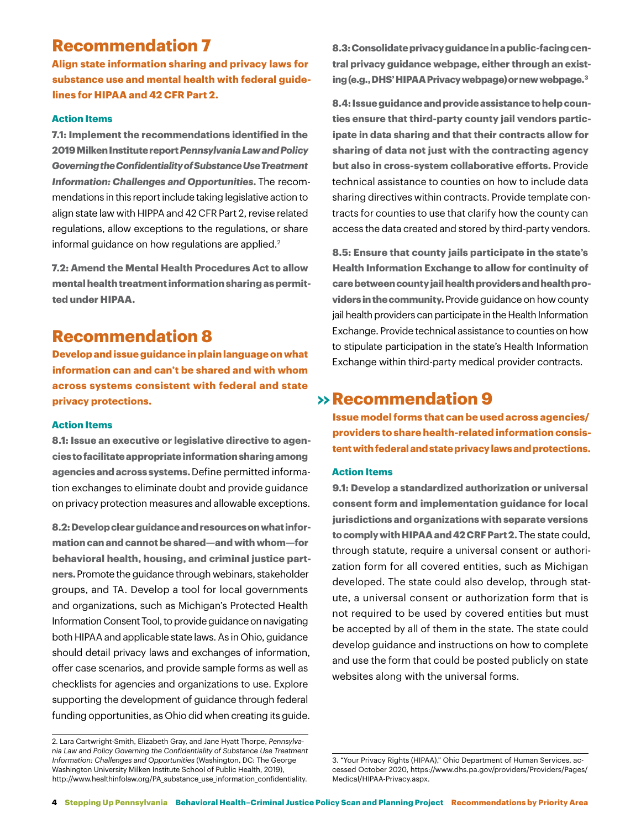# **Recommendation 7**

**Align state information sharing and privacy laws for substance use and mental health with federal guidelines for HIPAA and 42 CFR Part 2.** 

### **Action Items**

**7.1: Implement the recommendations identified in the 2019 Milken Institute report** *Pennsylvania Law and Policy Governing the Confidentiality of Substance Use Treatment Information: Challenges and Opportunities***.** The recommendations in this report include taking legislative action to align state law with HIPPA and 42 CFR Part 2, revise related regulations, allow exceptions to the regulations, or share informal guidance on how regulations are applied.<sup>2</sup>

**7.2: Amend the Mental Health Procedures Act to allow mental health treatment information sharing as permitted under HIPAA.**

# **Recommendation 8**

**Develop and issue guidance in plain language on what information can and can't be shared and with whom across systems consistent with federal and state privacy protections.**

### **Action Items**

**8.1: Issue an executive or legislative directive to agencies to facilitate appropriate information sharing among agencies and across systems.** Define permitted information exchanges to eliminate doubt and provide guidance on privacy protection measures and allowable exceptions.

**8.2: Develop clear guidance and resources on what information can and cannot be shared—and with whom—for behavioral health, housing, and criminal justice partners.** Promote the guidance through webinars, stakeholder groups, and TA. Develop a tool for local governments and organizations, such as Michigan's Protected Health Information Consent Tool, to provide guidance on navigating both HIPAA and applicable state laws. As in Ohio, guidance should detail privacy laws and exchanges of information, offer case scenarios, and provide sample forms as well as checklists for agencies and organizations to use. Explore supporting the development of guidance through federal funding opportunities, as Ohio did when creating its guide.

**8.3: Consolidate privacy guidance in a public-facing central privacy guidance webpage, either through an existing (e.g., DHS' HIPAA Privacy webpage) or new webpage.3**

**8.4: Issue guidance and provide assistance to help counties ensure that third-party county jail vendors participate in data sharing and that their contracts allow for sharing of data not just with the contracting agency but also in cross-system collaborative efforts.** Provide technical assistance to counties on how to include data sharing directives within contracts. Provide template contracts for counties to use that clarify how the county can access the data created and stored by third-party vendors.

**8.5: Ensure that county jails participate in the state's Health Information Exchange to allow for continuity of care between county jail health providers and health providers in the community.** Provide guidance on how county jail health providers can participate in the Health Information Exchange. Provide technical assistance to counties on how to stipulate participation in the state's Health Information Exchange within third-party medical provider contracts.

# **Re >> commendation 9**

**Issue model forms that can be used across agencies/ providers to share health-related information consistent with federal and state privacy laws and protections.**

### **Action Items**

**9.1: Develop a standardized authorization or universal consent form and implementation guidance for local jurisdictions and organizations with separate versions to comply with HIPAA and 42 CRF Part 2.** The state could, through statute, require a universal consent or authorization form for all covered entities, such as Michigan developed. The state could also develop, through statute, a universal consent or authorization form that is not required to be used by covered entities but must be accepted by all of them in the state. The state could develop guidance and instructions on how to complete and use the form that could be posted publicly on state websites along with the universal forms.

<sup>2.</sup> Lara Cartwright-Smith, Elizabeth Gray, and Jane Hyatt Thorpe, *Pennsylvania Law and Policy Governing the Confidentiality of Substance Use Treatment Information: Challenges and Opportunities* (Washington, DC: The George Washington University Milken Institute School of Public Health, 2019), http://www.healthinfolaw.org/PA\_substance\_use\_information\_confidentiality.

<sup>3. &</sup>quot;Your Privacy Rights (HIPAA)," Ohio Department of Human Services, accessed October 2020, https://www.dhs.pa.gov/providers/Providers/Pages/ Medical/HIPAA-Privacy.aspx.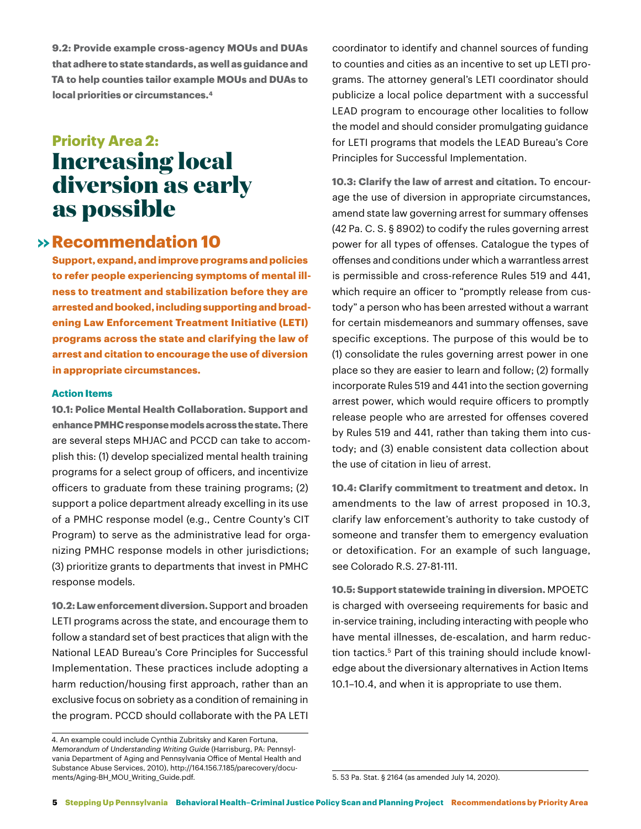**9.2: Provide example cross-agency MOUs and DUAs that adhere to state standards, as well as guidance and TA to help counties tailor example MOUs and DUAs to local priorities or circumstances.4**

# **Priority Area 2: Increasing local diversion as early as possible**

# $\rightarrow$  **Recommendation 10**

**Support, expand, and improve programs and policies to refer people experiencing symptoms of mental illness to treatment and stabilization before they are arrested and booked, including supporting and broadening Law Enforcement Treatment Initiative (LETI) programs across the state and clarifying the law of arrest and citation to encourage the use of diversion in appropriate circumstances.**

### **Action Items**

**10.1: Police Mental Health Collaboration. Support and enhance PMHC response models across the state.** There are several steps MHJAC and PCCD can take to accomplish this: (1) develop specialized mental health training programs for a select group of officers, and incentivize officers to graduate from these training programs; (2) support a police department already excelling in its use of a PMHC response model (e.g., Centre County's CIT Program) to serve as the administrative lead for organizing PMHC response models in other jurisdictions; (3) prioritize grants to departments that invest in PMHC response models.

**10.2: Law enforcement diversion.** Support and broaden LETI programs across the state, and encourage them to follow a standard set of best practices that align with the National LEAD Bureau's Core Principles for Successful Implementation. These practices include adopting a harm reduction/housing first approach, rather than an exclusive focus on sobriety as a condition of remaining in the program. PCCD should collaborate with the PA LETI

4. An example could include Cynthia Zubritsky and Karen Fortuna, *Memorandum of Understanding Writing Guide* (Harrisburg, PA: Pennsylvania Department of Aging and Pennsylvania Office of Mental Health and Substance Abuse Services, 2010), http://164.156.7.185/parecovery/documents/Aging-BH\_MOU\_Writing\_Guide.pdf.

coordinator to identify and channel sources of funding to counties and cities as an incentive to set up LETI programs. The attorney general's LETI coordinator should publicize a local police department with a successful LEAD program to encourage other localities to follow the model and should consider promulgating guidance for LETI programs that models the LEAD Bureau's Core Principles for Successful Implementation.

**10.3: Clarify the law of arrest and citation.** To encourage the use of diversion in appropriate circumstances, amend state law governing arrest for summary offenses (42 Pa. C. S. § 8902) to codify the rules governing arrest power for all types of offenses. Catalogue the types of offenses and conditions under which a warrantless arrest is permissible and cross-reference Rules 519 and 441, which require an officer to "promptly release from custody" a person who has been arrested without a warrant for certain misdemeanors and summary offenses, save specific exceptions. The purpose of this would be to (1) consolidate the rules governing arrest power in one place so they are easier to learn and follow; (2) formally incorporate Rules 519 and 441 into the section governing arrest power, which would require officers to promptly release people who are arrested for offenses covered by Rules 519 and 441, rather than taking them into custody; and (3) enable consistent data collection about the use of citation in lieu of arrest.

**10.4: Clarify commitment to treatment and detox.** In amendments to the law of arrest proposed in 10.3, clarify law enforcement's authority to take custody of someone and transfer them to emergency evaluation or detoxification. For an example of such language, see Colorado R.S. 27-81-111.

**10.5: Support statewide training in diversion.** MPOETC is charged with overseeing requirements for basic and in-service training, including interacting with people who have mental illnesses, de-escalation, and harm reduction tactics.5 Part of this training should include knowledge about the diversionary alternatives in Action Items 10.1–10.4, and when it is appropriate to use them.

5. 53 Pa. Stat. § 2164 (as amended July 14, 2020).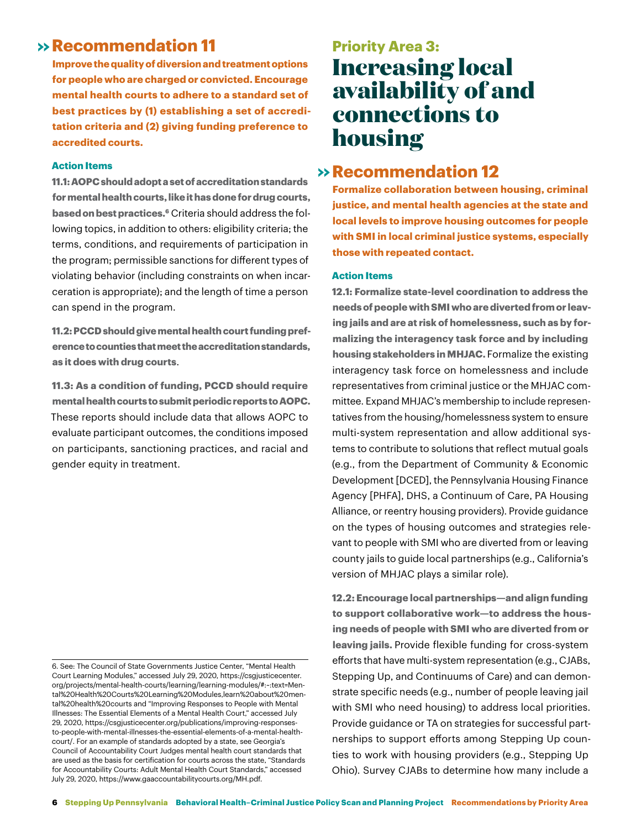# **Re >> commendation 11**

**Improve the quality of diversion and treatment options for people who are charged or convicted. Encourage mental health courts to adhere to a standard set of best practices by (1) establishing a set of accreditation criteria and (2) giving funding preference to accredited courts.**

### **Action Items**

**11.1: AOPC should adopt a set of accreditation standards for mental health courts, like it has done for drug courts, based on best practices.6** Criteria should address the following topics, in addition to others: eligibility criteria; the terms, conditions, and requirements of participation in the program; permissible sanctions for different types of violating behavior (including constraints on when incarceration is appropriate); and the length of time a person can spend in the program.

**11.2: PCCD should give mental health court funding preference to counties that meet the accreditation standards, as it does with drug courts**.

**11.3: As a condition of funding, PCCD should require mental health courts to submit periodic reports to AOPC.**  These reports should include data that allows AOPC to evaluate participant outcomes, the conditions imposed on participants, sanctioning practices, and racial and gender equity in treatment.

# **Priority Area 3: Increasing local availability of and connections to housing**

# $\rightarrow$  **Recommendation 12**

**Formalize collaboration between housing, criminal justice, and mental health agencies at the state and local levels to improve housing outcomes for people with SMI in local criminal justice systems, especially those with repeated contact.**

### **Action Items**

**12.1: Formalize state-level coordination to address the needs of people with SMI who are diverted from or leaving jails and are at risk of homelessness, such as by formalizing the interagency task force and by including housing stakeholders in MHJAC.** Formalize the existing interagency task force on homelessness and include representatives from criminal justice or the MHJAC committee. Expand MHJAC's membership to include representatives from the housing/homelessness system to ensure multi-system representation and allow additional systems to contribute to solutions that reflect mutual goals (e.g., from the Department of Community & Economic Development [DCED], the Pennsylvania Housing Finance Agency [PHFA], DHS, a Continuum of Care, PA Housing Alliance, or reentry housing providers). Provide guidance on the types of housing outcomes and strategies relevant to people with SMI who are diverted from or leaving county jails to guide local partnerships (e.g., California's version of MHJAC plays a similar role).

**12.2: Encourage local partnerships—and align funding to support collaborative work—to address the housing needs of people with SMI who are diverted from or leaving jails.** Provide flexible funding for cross-system efforts that have multi-system representation (e.g., CJABs, Stepping Up, and Continuums of Care) and can demonstrate specific needs (e.g., number of people leaving jail with SMI who need housing) to address local priorities. Provide guidance or TA on strategies for successful partnerships to support efforts among Stepping Up counties to work with housing providers (e.g., Stepping Up Ohio). Survey CJABs to determine how many include a

<sup>6.</sup> See: The Council of State Governments Justice Center, "Mental Health Court Learning Modules," accessed July 29, 2020, https://csgjusticecenter. org/projects/mental-health-courts/learning/learning-modules/#:~:text=Mental%20Health%20Courts%20Learning%20Modules,learn%20about%20mental%20health%20courts and "Improving Responses to People with Mental Illnesses: The Essential Elements of a Mental Health Court," accessed July 29, 2020, https://csgjusticecenter.org/publications/improving-responsesto-people-with-mental-illnesses-the-essential-elements-of-a-mental-healthcourt/. For an example of standards adopted by a state, see Georgia's Council of Accountability Court Judges mental health court standards that are used as the basis for certification for courts across the state, "Standards for Accountability Courts: Adult Mental Health Court Standards," accessed July 29, 2020, https://www.gaaccountabilitycourts.org/MH.pdf.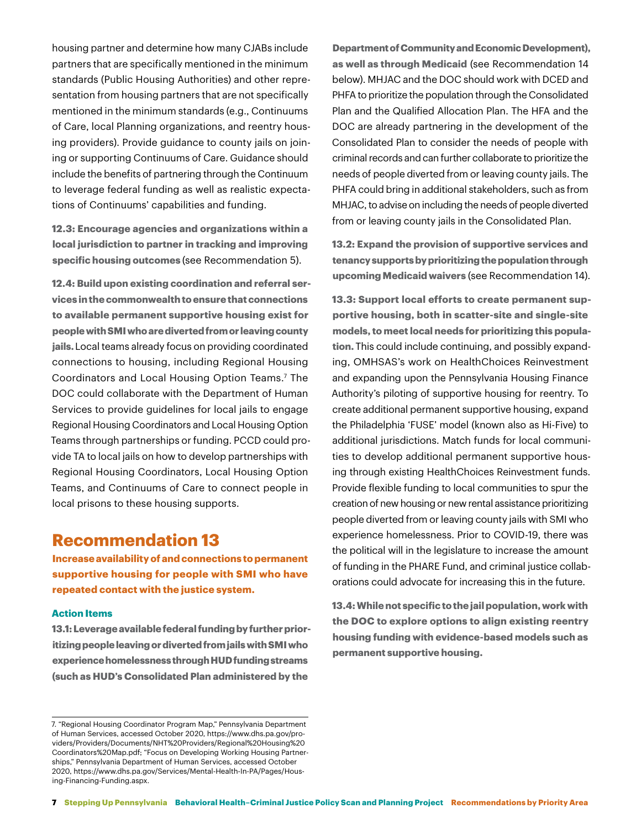housing partner and determine how many CJABs include partners that are specifically mentioned in the minimum standards (Public Housing Authorities) and other representation from housing partners that are not specifically mentioned in the minimum standards (e.g., Continuums of Care, local Planning organizations, and reentry housing providers). Provide guidance to county jails on joining or supporting Continuums of Care. Guidance should include the benefits of partnering through the Continuum to leverage federal funding as well as realistic expectations of Continuums' capabilities and funding.

**12.3: Encourage agencies and organizations within a local jurisdiction to partner in tracking and improving specific housing outcomes** (see Recommendation 5).

**12.4: Build upon existing coordination and referral services in the commonwealth to ensure that connections to available permanent supportive housing exist for people with SMI who are diverted from or leaving county jails.** Local teams already focus on providing coordinated connections to housing, including Regional Housing Coordinators and Local Housing Option Teams.7 The DOC could collaborate with the Department of Human Services to provide guidelines for local jails to engage Regional Housing Coordinators and Local Housing Option Teams through partnerships or funding. PCCD could provide TA to local jails on how to develop partnerships with Regional Housing Coordinators, Local Housing Option Teams, and Continuums of Care to connect people in local prisons to these housing supports.

### **Recommendation 13**

**Increase availability of and connections to permanent supportive housing for people with SMI who have repeated contact with the justice system.**

#### **Action Items**

**13.1: Leverage available federal funding by further prioritizing people leaving or diverted from jails with SMI who experience homelessness through HUD funding streams (such as HUD's Consolidated Plan administered by the** 

**Department of Community and Economic Development), as well as through Medicaid** (see Recommendation 14 below). MHJAC and the DOC should work with DCED and PHFA to prioritize the population through the Consolidated Plan and the Qualified Allocation Plan. The HFA and the DOC are already partnering in the development of the Consolidated Plan to consider the needs of people with criminal records and can further collaborate to prioritize the needs of people diverted from or leaving county jails. The PHFA could bring in additional stakeholders, such as from MHJAC, to advise on including the needs of people diverted from or leaving county jails in the Consolidated Plan.

**13.2: Expand the provision of supportive services and tenancy supports by prioritizing the population through upcoming Medicaid waivers** (see Recommendation 14).

**13.3: Support local efforts to create permanent supportive housing, both in scatter-site and single-site models, to meet local needs for prioritizing this population.** This could include continuing, and possibly expanding, OMHSAS's work on HealthChoices Reinvestment and expanding upon the Pennsylvania Housing Finance Authority's piloting of supportive housing for reentry. To create additional permanent supportive housing, expand the Philadelphia 'FUSE' model (known also as Hi-Five) to additional jurisdictions. Match funds for local communities to develop additional permanent supportive housing through existing HealthChoices Reinvestment funds. Provide flexible funding to local communities to spur the creation of new housing or new rental assistance prioritizing people diverted from or leaving county jails with SMI who experience homelessness. Prior to COVID-19, there was the political will in the legislature to increase the amount of funding in the PHARE Fund, and criminal justice collaborations could advocate for increasing this in the future.

**13.4: While not specific to the jail population, work with the DOC to explore options to align existing reentry housing funding with evidence-based models such as permanent supportive housing.**

<sup>7. &</sup>quot;Regional Housing Coordinator Program Map," Pennsylvania Department of Human Services, accessed October 2020, https://www.dhs.pa.gov/providers/Providers/Documents/NHT%20Providers/Regional%20Housing%20 Coordinators%20Map.pdf; "Focus on Developing Working Housing Partnerships," Pennsylvania Department of Human Services, accessed October 2020, https://www.dhs.pa.gov/Services/Mental-Health-In-PA/Pages/Housing-Financing-Funding.aspx.